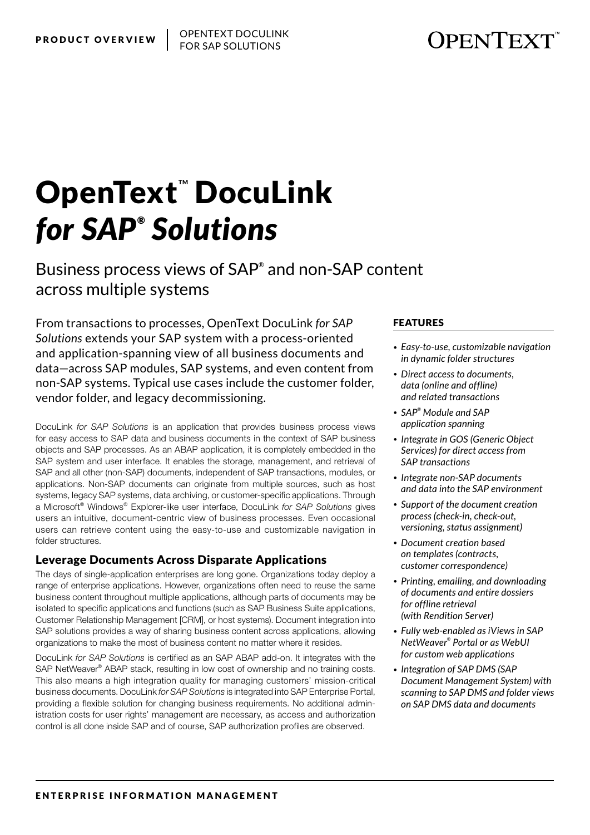# **OPENTEXT**

# **OpenText DocuLink** *for SAP® Solutions*

Business process views of SAP® and non-SAP content across multiple systems

From transactions to processes, OpenText DocuLink *for SAP Solutions* extends your SAP system with a process-oriented and application-spanning view of all business documents and data—across SAP modules, SAP systems, and even content from non-SAP systems. Typical use cases include the customer folder, vendor folder, and legacy decommissioning.

DocuLink *for SAP Solutions* is an application that provides business process views for easy access to SAP data and business documents in the context of SAP business objects and SAP processes. As an ABAP application, it is completely embedded in the SAP system and user interface. It enables the storage, management, and retrieval of SAP and all other (non-SAP) documents, independent of SAP transactions, modules, or applications. Non-SAP documents can originate from multiple sources, such as host systems, legacy SAP systems, data archiving, or customer-specific applications. Through a Microsoft® Windows® Explorer-like user interface, DocuLink *for SAP Solutions* gives users an intuitive, document-centric view of business processes. Even occasional users can retrieve content using the easy-to-use and customizable navigation in folder structures.

### Leverage Documents Across Disparate Applications

The days of single-application enterprises are long gone. Organizations today deploy a range of enterprise applications. However, organizations often need to reuse the same business content throughout multiple applications, although parts of documents may be isolated to specific applications and functions (such as SAP Business Suite applications, Customer Relationship Management [CRM], or host systems). Document integration into SAP solutions provides a way of sharing business content across applications, allowing organizations to make the most of business content no matter where it resides.

DocuLink *for SAP Solutions* is certified as an SAP ABAP add-on. It integrates with the SAP NetWeaver® ABAP stack, resulting in low cost of ownership and no training costs. This also means a high integration quality for managing customers' mission-critical business documents. DocuLink *for SAP Solutions* is integrated into SAP Enterprise Portal, providing a flexible solution for changing business requirements. No additional administration costs for user rights' management are necessary, as access and authorization control is all done inside SAP and of course, SAP authorization profiles are observed.

#### FEATURES

- *• Easy-to-use, customizable navigation in dynamic folder structures*
- *• Direct access to documents, data (online and offline) and related transactions*
- *• SAP® Module and SAP application spanning*
- *• Integrate in GOS (Generic Object Services) for direct access from SAP transactions*
- *• Integrate non-SAP documents and data into the SAP environment*
- *• Support of the document creation process (check-in, check-out, versioning, status assignment)*
- *• Document creation based on templates (contracts, customer correspondence)*
- *• Printing, emailing, and downloading of documents and entire dossiers for offline retrieval (with Rendition Server)*
- *• Fully web-enabled as iViews in SAP NetWeaver® Portal or as WebUI for custom web applications*
- *• Integration of SAP DMS (SAP Document Management System) with scanning to SAP DMS and folder views on SAP DMS data and documents*